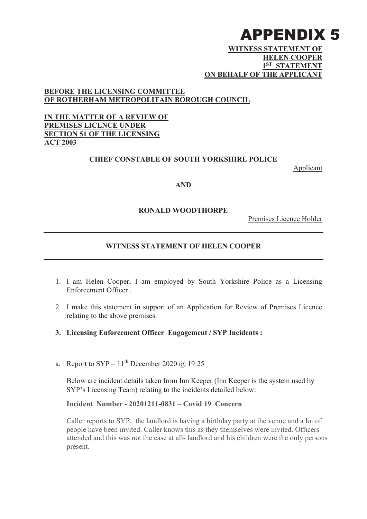## APPENDIX 5

#### **WITNESS STATEMENT OF HELEN COOPER 1ST STATEMENT ON BEHALF OF THE APPLICANT**

## **BEFORE THE LICENSING COMMITTEE OF ROTHERHAM METROPOLITAIN BOROUGH COUNCIL**

### **IN THE MATTER OF A REVIEW OF PREMISES LICENCE UNDER SECTION 51 OF THE LICENSING ACT 2003**

#### **CHIEF CONSTABLE OF SOUTH YORKSHIRE POLICE**

Applicant

#### **AND**

#### **RONALD WOODTHORPE**

Premises Licence Holder

#### **WITNESS STATEMENT OF HELEN COOPER**

- 1. I am Helen Cooper, I am employed by South Yorkshire Police as a Licensing Enforcement Officer .
- 2. I make this statement in support of an Application for Review of Premises Licence relating to the above premises.
- **3. Licensing Enforcement Officer Engagement / SYP Incidents :**
- a. Report to SYP  $11<sup>th</sup>$  December 2020 @ 19:25

Below are incident details taken from Inn Keeper (Inn Keeper is the system used by SYP's Licensing Team) relating to the incidents detailed below:

**Incident Number - 20201211-0831 – Covid 19 Concern**

Caller reports to SYP, the landlord is having a birthday party at the venue and a lot of people have been invited. Caller knows this as they themselves were invited. Officers attended and this was not the case at all- landlord and his children were the only persons present.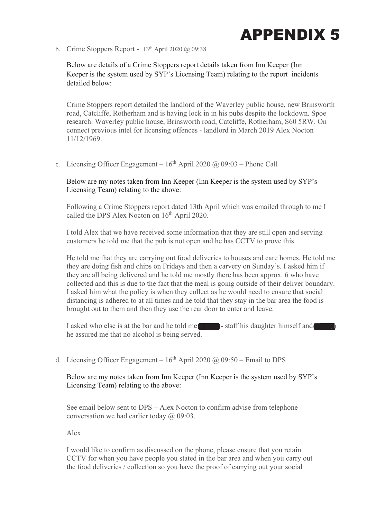

b. Crime Stoppers Report -  $13<sup>th</sup>$  April 2020 @ 09:38

Below are details of a Crime Stoppers report details taken from Inn Keeper (Inn Keeper is the system used by SYP's Licensing Team) relating to the report incidents detailed below:

Crime Stoppers report detailed the landlord of the Waverley public house, new Brinsworth road, Catcliffe, Rotherham and is having lock in in his pubs despite the lockdown. Spoe research: Waverley public house, Brinsworth road, Catcliffe, Rotherham, S60 5RW. On connect previous intel for licensing offences - landlord in March 2019 Alex Nocton 11/12/1969.

c. Licensing Officer Engagement –  $16<sup>th</sup>$  April 2020 @ 09:03 – Phone Call

Below are my notes taken from Inn Keeper (Inn Keeper is the system used by SYP's Licensing Team) relating to the above:

Following a Crime Stoppers report dated 13th April which was emailed through to me I called the DPS Alex Nocton on  $16<sup>th</sup>$  April 2020.

I told Alex that we have received some information that they are still open and serving customers he told me that the pub is not open and he has CCTV to prove this.

He told me that they are carrying out food deliveries to houses and care homes. He told me they are doing fish and chips on Fridays and then a carvery on Sunday's. I asked him if they are all being delivered and he told me mostly there has been approx. 6 who have collected and this is due to the fact that the meal is going outside of their deliver boundary. I asked him what the policy is when they collect as he would need to ensure that social distancing is adhered to at all times and he told that they stay in the bar area the food is brought out to them and then they use the rear door to enter and leave.

I asked who else is at the bar and he told me less - staff his daughter himself and he assured me that no alcohol is being served.

d. Licensing Officer Engagement –  $16<sup>th</sup>$  April 2020 @ 09:50 – Email to DPS

Below are my notes taken from Inn Keeper (Inn Keeper is the system used by SYP's Licensing Team) relating to the above:

See email below sent to DPS – Alex Nocton to confirm advise from telephone conversation we had earlier today @ 09:03.

Alex

I would like to confirm as discussed on the phone, please ensure that you retain CCTV for when you have people you stated in the bar area and when you carry out the food deliveries / collection so you have the proof of carrying out your social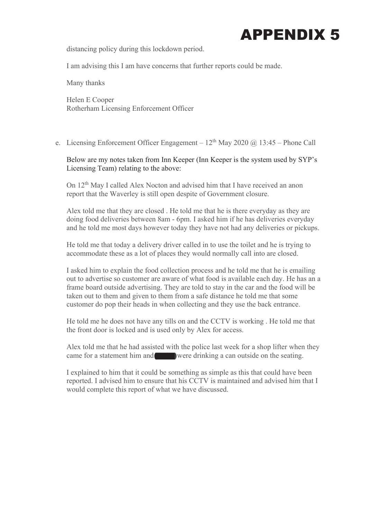

distancing policy during this lockdown period.

I am advising this I am have concerns that further reports could be made.

Many thanks

Helen E Cooper Rotherham Licensing Enforcement Officer

e. Licensing Enforcement Officer Engagement –  $12^{th}$  May 2020 @ 13:45 – Phone Call

Below are my notes taken from Inn Keeper (Inn Keeper is the system used by SYP's Licensing Team) relating to the above:

On 12<sup>th</sup> May I called Alex Nocton and advised him that I have received an anon report that the Waverley is still open despite of Government closure.

Alex told me that they are closed . He told me that he is there everyday as they are doing food deliveries between 8am - 6pm. I asked him if he has deliveries everyday and he told me most days however today they have not had any deliveries or pickups.

He told me that today a delivery driver called in to use the toilet and he is trying to accommodate these as a lot of places they would normally call into are closed.

I asked him to explain the food collection process and he told me that he is emailing out to advertise so customer are aware of what food is available each day. He has an a frame board outside advertising. They are told to stay in the car and the food will be taken out to them and given to them from a safe distance he told me that some customer do pop their heads in when collecting and they use the back entrance.

He told me he does not have any tills on and the CCTV is working . He told me that the front door is locked and is used only by Alex for access.

Alex told me that he had assisted with the police last week for a shop lifter when they came for a statement him and vere drinking a can outside on the seating.

I explained to him that it could be something as simple as this that could have been reported. I advised him to ensure that his CCTV is maintained and advised him that I would complete this report of what we have discussed.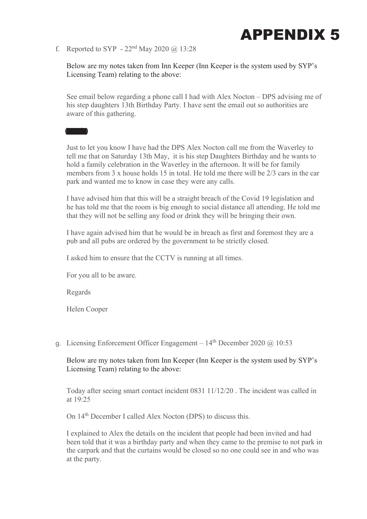

f. Reported to SYP -  $22<sup>nd</sup>$  May 2020 @ 13:28

Below are my notes taken from Inn Keeper (Inn Keeper is the system used by SYP's Licensing Team) relating to the above:

See email below regarding a phone call I had with Alex Nocton – DPS advising me of his step daughters 13th Birthday Party. I have sent the email out so authorities are aware of this gathering.

Just to let you know I have had the DPS Alex Nocton call me from the Waverley to tell me that on Saturday 13th May, it is his step Daughters Birthday and he wants to hold a family celebration in the Waverley in the afternoon. It will be for family members from 3 x house holds 15 in total. He told me there will be 2/3 cars in the car park and wanted me to know in case they were any calls.

I have advised him that this will be a straight breach of the Covid 19 legislation and he has told me that the room is big enough to social distance all attending. He told me that they will not be selling any food or drink they will be bringing their own.

I have again advised him that he would be in breach as first and foremost they are a pub and all pubs are ordered by the government to be strictly closed.

I asked him to ensure that the CCTV is running at all times.

For you all to be aware.

Regards

Martin Martin

Helen Cooper

g. Licensing Enforcement Officer Engagement –  $14<sup>th</sup>$  December 2020 @ 10:53

Below are my notes taken from Inn Keeper (Inn Keeper is the system used by SYP's Licensing Team) relating to the above:

Today after seeing smart contact incident 0831 11/12/20 . The incident was called in at 19:25

On 14<sup>th</sup> December I called Alex Nocton (DPS) to discuss this.

I explained to Alex the details on the incident that people had been invited and had been told that it was a birthday party and when they came to the premise to not park in the carpark and that the curtains would be closed so no one could see in and who was at the party.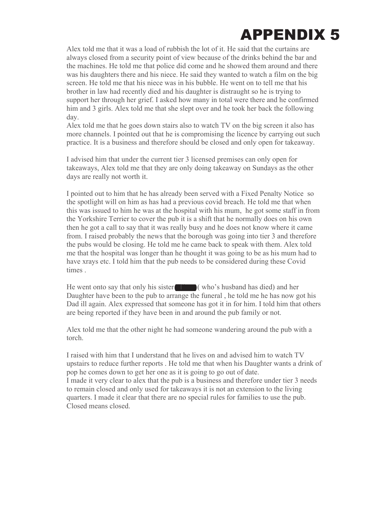# APPENDIX 5

Alex told me that it was a load of rubbish the lot of it. He said that the curtains are always closed from a security point of view because of the drinks behind the bar and the machines. He told me that police did come and he showed them around and there was his daughters there and his niece. He said they wanted to watch a film on the big screen. He told me that his niece was in his bubble. He went on to tell me that his brother in law had recently died and his daughter is distraught so he is trying to support her through her grief. I asked how many in total were there and he confirmed him and 3 girls. Alex told me that she slept over and he took her back the following day.

Alex told me that he goes down stairs also to watch TV on the big screen it also has more channels. I pointed out that he is compromising the licence by carrying out such practice. It is a business and therefore should be closed and only open for takeaway.

I advised him that under the current tier 3 licensed premises can only open for takeaways, Alex told me that they are only doing takeaway on Sundays as the other days are really not worth it.

I pointed out to him that he has already been served with a Fixed Penalty Notice so the spotlight will on him as has had a previous covid breach. He told me that when this was issued to him he was at the hospital with his mum, he got some staff in from the Yorkshire Terrier to cover the pub it is a shift that he normally does on his own then he got a call to say that it was really busy and he does not know where it came from. I raised probably the news that the borough was going into tier 3 and therefore the pubs would be closing. He told me he came back to speak with them. Alex told me that the hospital was longer than he thought it was going to be as his mum had to have xrays etc. I told him that the pub needs to be considered during these Covid times .

He went onto say that only his sister Alison ( who's husband has died) and her Daughter have been to the pub to arrange the funeral , he told me he has now got his Dad ill again. Alex expressed that someone has got it in for him. I told him that others are being reported if they have been in and around the pub family or not.

Alex told me that the other night he had someone wandering around the pub with a torch.

I raised with him that I understand that he lives on and advised him to watch TV upstairs to reduce further reports . He told me that when his Daughter wants a drink of pop he comes down to get her one as it is going to go out of date. I made it very clear to alex that the pub is a business and therefore under tier 3 needs to remain closed and only used for takeaways it is not an extension to the living quarters. I made it clear that there are no special rules for families to use the pub. Closed means closed.